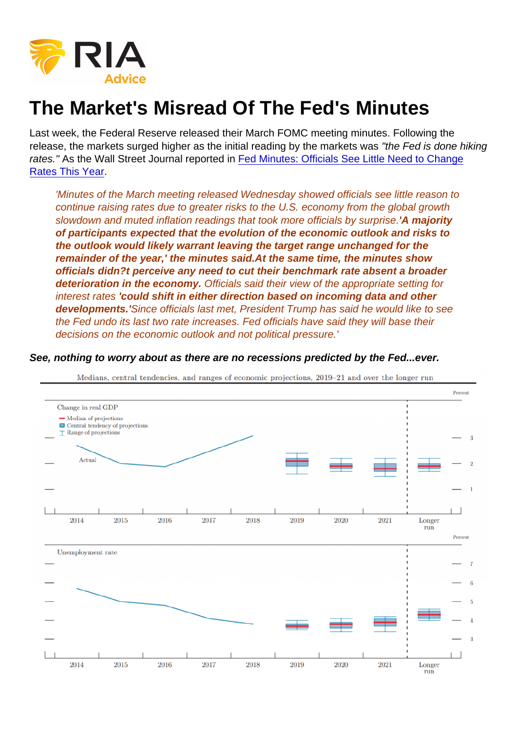## The Market's Misread Of The Fed's Minutes

Last week, the Federal Reserve released their March FOMC meeting minutes. Following the release, the markets surged higher as the initial reading by the markets was "the Fed is done hiking rates." As the Wall Street Journal reported in [Fed Minutes: Officials See Little Need to Change](https://www.wsj.com/articles/fed-minutes-officials-see-little-need-to-change-rates-this-year-11554919386) [Rates This Year](https://www.wsj.com/articles/fed-minutes-officials-see-little-need-to-change-rates-this-year-11554919386).

'Minutes of the March meeting released Wednesday showed officials see little reason to continue raising rates due to greater risks to the U.S. economy from the global growth slowdown and muted inflation readings that took more officials by surprise.'A majority of participants expected that the evolution of the economic outlook and risks to the outlook would likely warrant leaving the target range unchanged for the remainder of the year,' the minutes said. At the same time, the minutes show officials didn?t perceive any need to cut their benchmark rate absent a broader deterioration in the economy. Officials said their view of the appropriate setting for interest rates 'could shift in either direction based on incoming data and other developments.' Since officials last met, President Trump has said he would like to see the Fed undo its last two rate increases. Fed officials have said they will base their decisions on the economic outlook and not political pressure.'

See, nothing to worry about as there are no recessions predicted by the Fed...ever.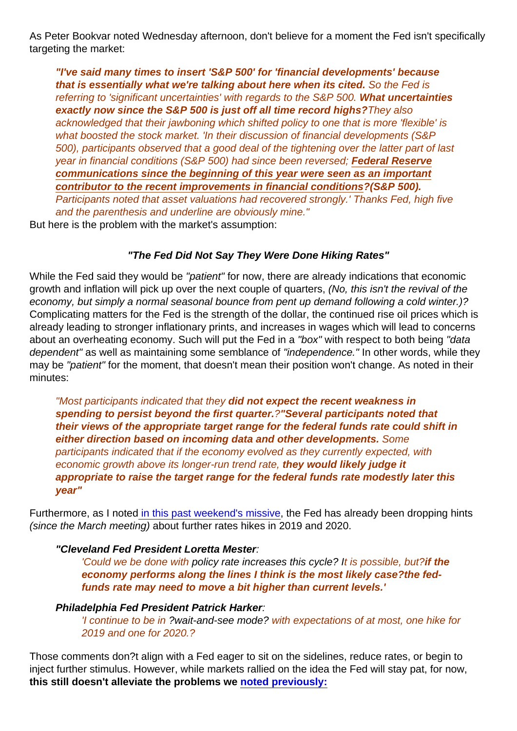As Peter Bookvar noted Wednesday afternoon, don't believe for a moment the Fed isn't specifically targeting the market:

"I've said many times to insert 'S&P 500' for 'financial developments' because that is essentially what we're talking about here when its cited. So the Fed is referring to 'significant uncertainties' with regards to the S&P 500. What uncertainties exactly now since the S&P 500 is just off all time record highs? They also acknowledged that their jawboning which shifted policy to one that is more 'flexible' is what boosted the stock market. 'In their discussion of financial developments (S&P 500), participants observed that a good deal of the tightening over the latter part of last year in financial conditions (S&P 500) had since been reversed; Federal Reserve communications since the beginning of this year were seen as an important contributor to the recent improvements in financial conditions ?(S&P 500). Participants noted that asset valuations had recovered strongly.' Thanks Fed, high five and the parenthesis and underline are obviously mine."

But here is the problem with the market's assumption:

"The Fed Did Not Say They Were Done Hiking Rates"

While the Fed said they would be "patient" for now, there are already indications that economic growth and inflation will pick up over the next couple of quarters, (No, this isn't the revival of the economy, but simply a normal seasonal bounce from pent up demand following a cold winter.)? Complicating matters for the Fed is the strength of the dollar, the continued rise oil prices which is already leading to stronger inflationary prints, and increases in wages which will lead to concerns about an overheating economy. Such will put the Fed in a "box" with respect to both being "data dependent" as well as maintaining some semblance of "independence." In other words, while they may be "patient" for the moment, that doesn't mean their position won't change. As noted in their minutes:

"Most participants indicated that they did not expect the recent weakness in spending to persist beyond the first quarter. <sup>?"</sup>Several participants noted that their views of the appropriate target range for the federal funds rate could shift in either direction based on incoming data and other developments. Some participants indicated that if the economy evolved as they currently expected, with economic growth above its longer-run trend rate, they would likely judge it appropriate to raise the target range for the federal funds rate modestly later this year"

Furthermore, as I note[d in this past weekend's missive](https://realinvestmentadvice.com/experience-is-the-only-cure-04-06-19/), the Fed has already been dropping hints (since the March meeting) about further rates hikes in 2019 and 2020.

"Cleveland Fed President Loretta Mester :

'Could we be done with policy rate increases this cycle? It is possible, but?if the economy performs along the lines I think is the most likely case?the fedfunds rate may need to move a bit higher than current levels.'

Philadelphia Fed President Patrick Harker :

'I continue to be in ?wait-and-see mode? with expectations of at most, one hike for 2019 and one for 2020.?

Those comments don?t align with a Fed eager to sit on the sidelines, reduce rates, or begin to inject further stimulus. However, while markets rallied on the idea the Fed will stay pat, for now, this still doesn't alleviate the problems we [noted previously:](https://realinvestmentadvice.com/fundamentally-speaking-earnings-growth-much-weaker-than-advertised/)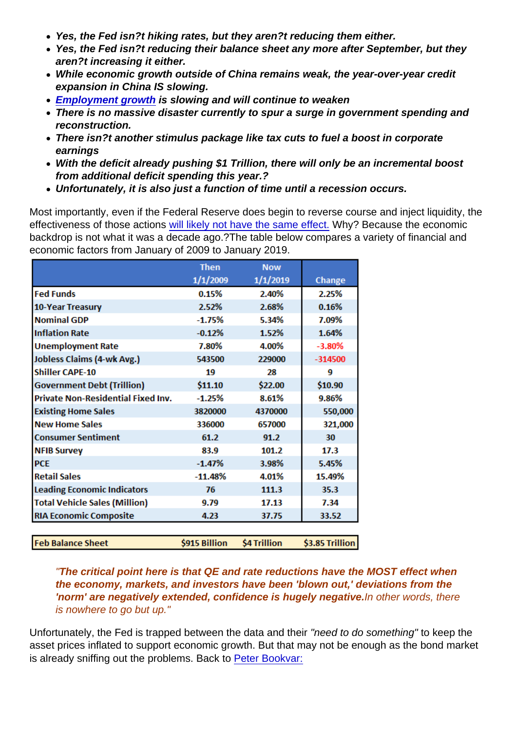- Yes, the Fed isn?t hiking rates, but they aren?t reducing them either.
- Yes, the Fed isn?t reducing their balance sheet any more after September, but they aren?t increasing it either.
- While economic growth outside of China remains weak, the year-over-year credit expansion in China IS slowing.
- [Employment growth](https://realinvestmentadvice.com/the-message-from-the-jobs-report-the-economy-is-slowing/) is slowing and will continue to weaken
- There is no massive disaster currently to spur a surge in government spending and reconstruction.
- There isn?t another stimulus package like tax cuts to fuel a boost in corporate earnings
- With the deficit already pushing \$1 Trillion, there will only be an incremental boost from additional deficit spending this year.?
- Unfortunately, it is also just a function of time until a recession occurs.

Most importantly, even if the Federal Reserve does begin to reverse course and inject liquidity, the effectiveness of those actions [will likely not have the same effect.](https://realinvestmentadvice.com/qe-then-now-why-it-may-not-work/) Why? Because the economic backdrop is not what it was a decade ago.?The table below compares a variety of financial and economic factors from January of 2009 to January 2019.

"The critical point here is that QE and rate reductions have the MOST effect when the economy, markets, and investors have been 'blown out,' deviations from the 'norm' are negatively extended, confidence is hugely negative. In other words, there is nowhere to go but up."

Unfortunately, the Fed is trapped between the data and their "need to do something" to keep the asset prices inflated to support economic growth. But that may not be enough as the bond market is already sniffing out the problems. Back to [Peter Bookvar:](https://www.marketwatch.com/story/this-economic-slowdown-is-not-a-blip-warns-strategist-who-manages-45-billion-2019-04-10)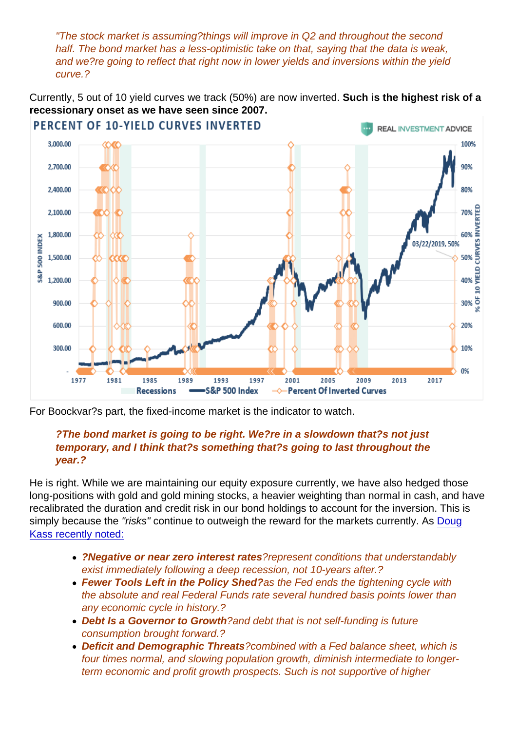"The stock market is assuming?things will improve in Q2 and throughout the second half. The bond market has a less-optimistic take on that, saying that the data is weak, and we?re going to reflect that right now in lower yields and inversions within the yield curve.?

Currently, 5 out of 10 yield curves we track (50%) are now inverted. Such is the highest risk of a recessionary onset as we have seen since 2007.

For Boockvar?s part, the fixed-income market is the indicator to watch.

?The bond market is going to be right. We?re in a slowdown that?s not just temporary, and I think that?s something that?s going to last throughout the year.?

He is right. While we are maintaining our equity exposure currently, we have also hedged those long-positions with gold and gold mining stocks, a heavier weighting than normal in cash, and have recalibrated the duration and credit risk in our bond holdings to account for the inversion. This is simply because the "risks" continue to outweigh the reward for the markets currently. As [Doug](https://realmoney.thestreet.com/dougs-daily-diary?published[value][date]=2019-04-10&author=All#fed-pats-itself--20190410) [Kass recently noted:](https://realmoney.thestreet.com/dougs-daily-diary?published[value][date]=2019-04-10&author=All#fed-pats-itself--20190410)

- ?Negative or near zero interest rates ?represent conditions that understandably exist immediately following a deep recession, not 10-years after.?
- Fewer Tools Left in the Policy Shed? as the Fed ends the tightening cycle with the absolute and real Federal Funds rate several hundred basis points lower than any economic cycle in history.?
- Debt Is a Governor to Growth ?and debt that is not self-funding is future consumption brought forward.?
- Deficit and Demographic Threats ?combined with a Fed balance sheet, which is four times normal, and slowing population growth, diminish intermediate to longerterm economic and profit growth prospects. Such is not supportive of higher